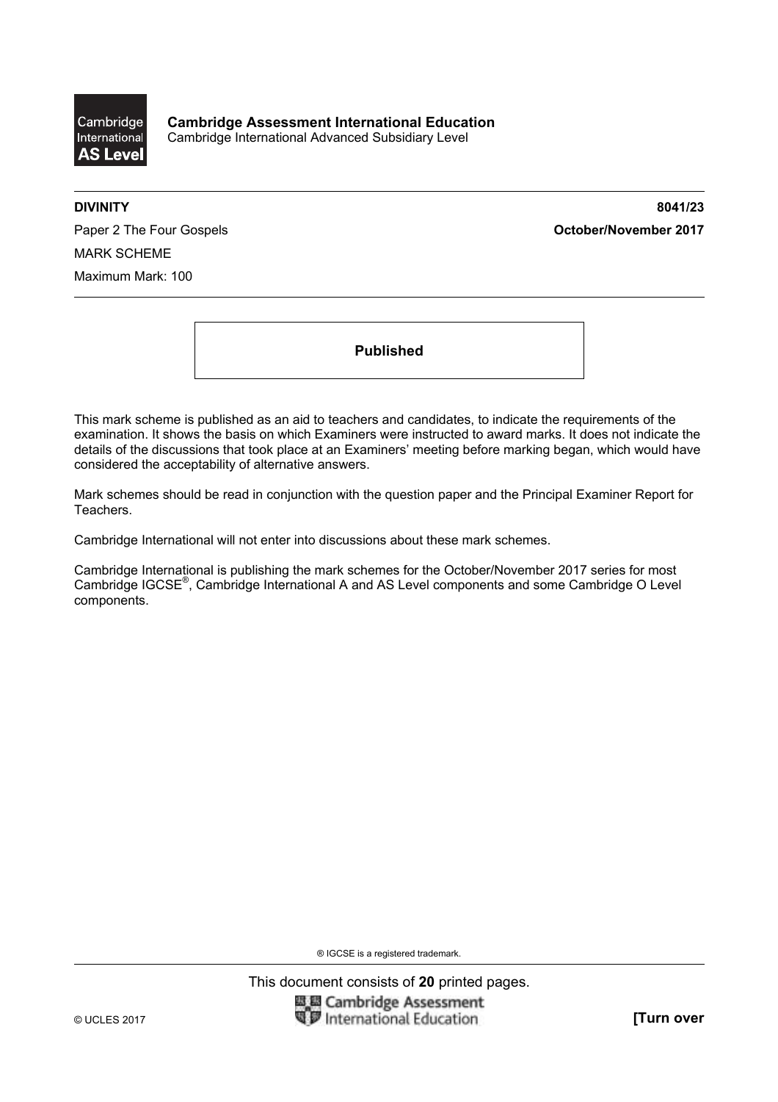

**DIVINITY 8041/23** 

Paper 2 The Four Gospels **Community Community Community Community Community Community Community Community Community** MARK SCHEME Maximum Mark: 100

**Published** 

This mark scheme is published as an aid to teachers and candidates, to indicate the requirements of the examination. It shows the basis on which Examiners were instructed to award marks. It does not indicate the details of the discussions that took place at an Examiners' meeting before marking began, which would have considered the acceptability of alternative answers.

Mark schemes should be read in conjunction with the question paper and the Principal Examiner Report for Teachers.

Cambridge International will not enter into discussions about these mark schemes.

Cambridge International is publishing the mark schemes for the October/November 2017 series for most Cambridge IGCSE®, Cambridge International A and AS Level components and some Cambridge O Level components.

® IGCSE is a registered trademark.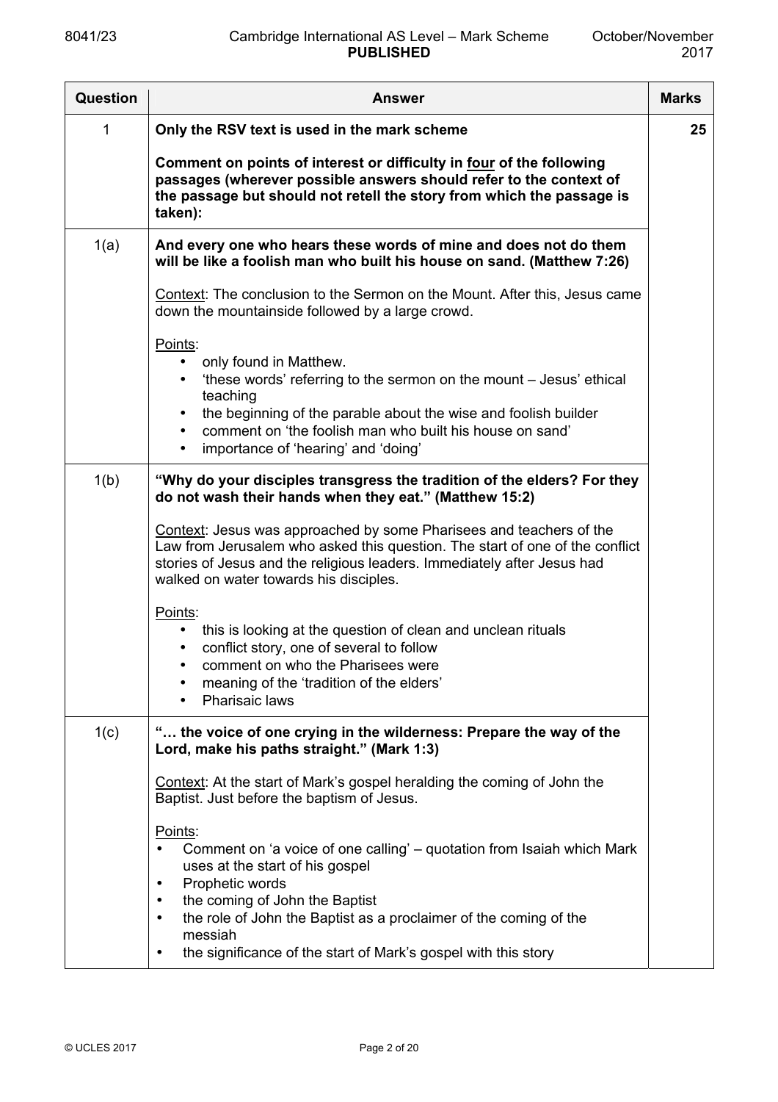| Question | <b>Answer</b>                                                                                                                                                                                                                                                                                                                                                                   | <b>Marks</b> |
|----------|---------------------------------------------------------------------------------------------------------------------------------------------------------------------------------------------------------------------------------------------------------------------------------------------------------------------------------------------------------------------------------|--------------|
| 1        | Only the RSV text is used in the mark scheme                                                                                                                                                                                                                                                                                                                                    | 25           |
|          | Comment on points of interest or difficulty in four of the following<br>passages (wherever possible answers should refer to the context of<br>the passage but should not retell the story from which the passage is<br>taken):                                                                                                                                                  |              |
| 1(a)     | And every one who hears these words of mine and does not do them<br>will be like a foolish man who built his house on sand. (Matthew 7:26)                                                                                                                                                                                                                                      |              |
|          | Context: The conclusion to the Sermon on the Mount. After this, Jesus came<br>down the mountainside followed by a large crowd.                                                                                                                                                                                                                                                  |              |
|          | Points:<br>only found in Matthew.<br>'these words' referring to the sermon on the mount - Jesus' ethical<br>$\bullet$<br>teaching<br>the beginning of the parable about the wise and foolish builder<br>$\bullet$<br>comment on 'the foolish man who built his house on sand'<br>$\bullet$<br>importance of 'hearing' and 'doing'                                               |              |
| 1(b)     | "Why do your disciples transgress the tradition of the elders? For they<br>do not wash their hands when they eat." (Matthew 15:2)                                                                                                                                                                                                                                               |              |
|          | Context: Jesus was approached by some Pharisees and teachers of the<br>Law from Jerusalem who asked this question. The start of one of the conflict<br>stories of Jesus and the religious leaders. Immediately after Jesus had<br>walked on water towards his disciples.                                                                                                        |              |
|          | Points:<br>this is looking at the question of clean and unclean rituals<br>conflict story, one of several to follow<br>comment on who the Pharisees were<br>meaning of the 'tradition of the elders'<br>Pharisaic laws<br>$\bullet$                                                                                                                                             |              |
| 1(c)     | " the voice of one crying in the wilderness: Prepare the way of the<br>Lord, make his paths straight." (Mark 1:3)                                                                                                                                                                                                                                                               |              |
|          | Context: At the start of Mark's gospel heralding the coming of John the<br>Baptist. Just before the baptism of Jesus.                                                                                                                                                                                                                                                           |              |
|          | Points:<br>Comment on 'a voice of one calling' - quotation from Isaiah which Mark<br>uses at the start of his gospel<br>Prophetic words<br>$\bullet$<br>the coming of John the Baptist<br>$\bullet$<br>the role of John the Baptist as a proclaimer of the coming of the<br>$\bullet$<br>messiah<br>the significance of the start of Mark's gospel with this story<br>$\bullet$ |              |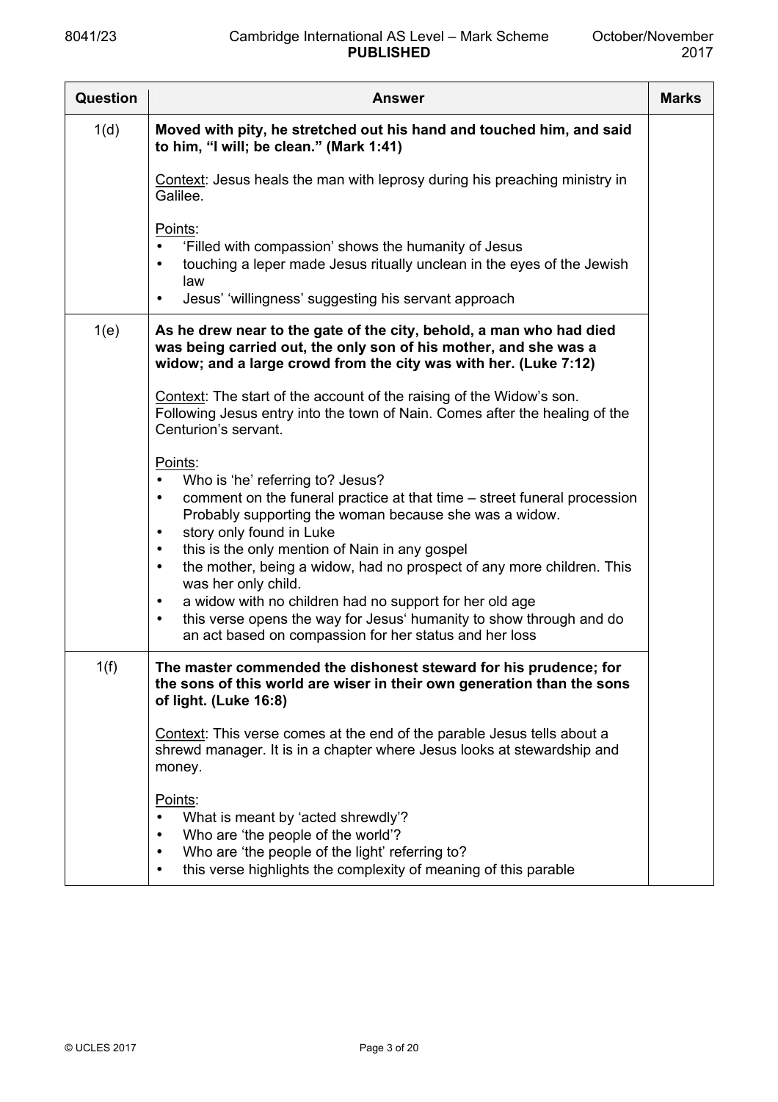| Question | <b>Answer</b>                                                                                                                                                                                                                                                                                                                                                                                                                                                                                                                                                                                                                                          | <b>Marks</b> |
|----------|--------------------------------------------------------------------------------------------------------------------------------------------------------------------------------------------------------------------------------------------------------------------------------------------------------------------------------------------------------------------------------------------------------------------------------------------------------------------------------------------------------------------------------------------------------------------------------------------------------------------------------------------------------|--------------|
| 1(d)     | Moved with pity, he stretched out his hand and touched him, and said<br>to him, "I will; be clean." (Mark 1:41)                                                                                                                                                                                                                                                                                                                                                                                                                                                                                                                                        |              |
|          | Context: Jesus heals the man with leprosy during his preaching ministry in<br>Galilee.                                                                                                                                                                                                                                                                                                                                                                                                                                                                                                                                                                 |              |
|          | Points:<br>'Filled with compassion' shows the humanity of Jesus<br>$\bullet$<br>touching a leper made Jesus ritually unclean in the eyes of the Jewish<br>$\bullet$<br>law<br>Jesus' 'willingness' suggesting his servant approach<br>$\bullet$                                                                                                                                                                                                                                                                                                                                                                                                        |              |
| 1(e)     | As he drew near to the gate of the city, behold, a man who had died<br>was being carried out, the only son of his mother, and she was a<br>widow; and a large crowd from the city was with her. (Luke 7:12)                                                                                                                                                                                                                                                                                                                                                                                                                                            |              |
|          | Context: The start of the account of the raising of the Widow's son.<br>Following Jesus entry into the town of Nain. Comes after the healing of the<br>Centurion's servant.                                                                                                                                                                                                                                                                                                                                                                                                                                                                            |              |
|          | Points:<br>Who is 'he' referring to? Jesus?<br>$\bullet$<br>comment on the funeral practice at that time – street funeral procession<br>$\bullet$<br>Probably supporting the woman because she was a widow.<br>story only found in Luke<br>$\bullet$<br>this is the only mention of Nain in any gospel<br>$\bullet$<br>the mother, being a widow, had no prospect of any more children. This<br>$\bullet$<br>was her only child.<br>a widow with no children had no support for her old age<br>$\bullet$<br>this verse opens the way for Jesus' humanity to show through and do<br>$\bullet$<br>an act based on compassion for her status and her loss |              |
| 1(f)     | The master commended the dishonest steward for his prudence; for<br>the sons of this world are wiser in their own generation than the sons<br>of light. (Luke 16:8)                                                                                                                                                                                                                                                                                                                                                                                                                                                                                    |              |
|          | Context: This verse comes at the end of the parable Jesus tells about a<br>shrewd manager. It is in a chapter where Jesus looks at stewardship and<br>money.                                                                                                                                                                                                                                                                                                                                                                                                                                                                                           |              |
|          | Points:<br>What is meant by 'acted shrewdly'?<br>$\bullet$<br>Who are 'the people of the world'?<br>$\bullet$<br>Who are 'the people of the light' referring to?<br>$\bullet$<br>this verse highlights the complexity of meaning of this parable<br>$\bullet$                                                                                                                                                                                                                                                                                                                                                                                          |              |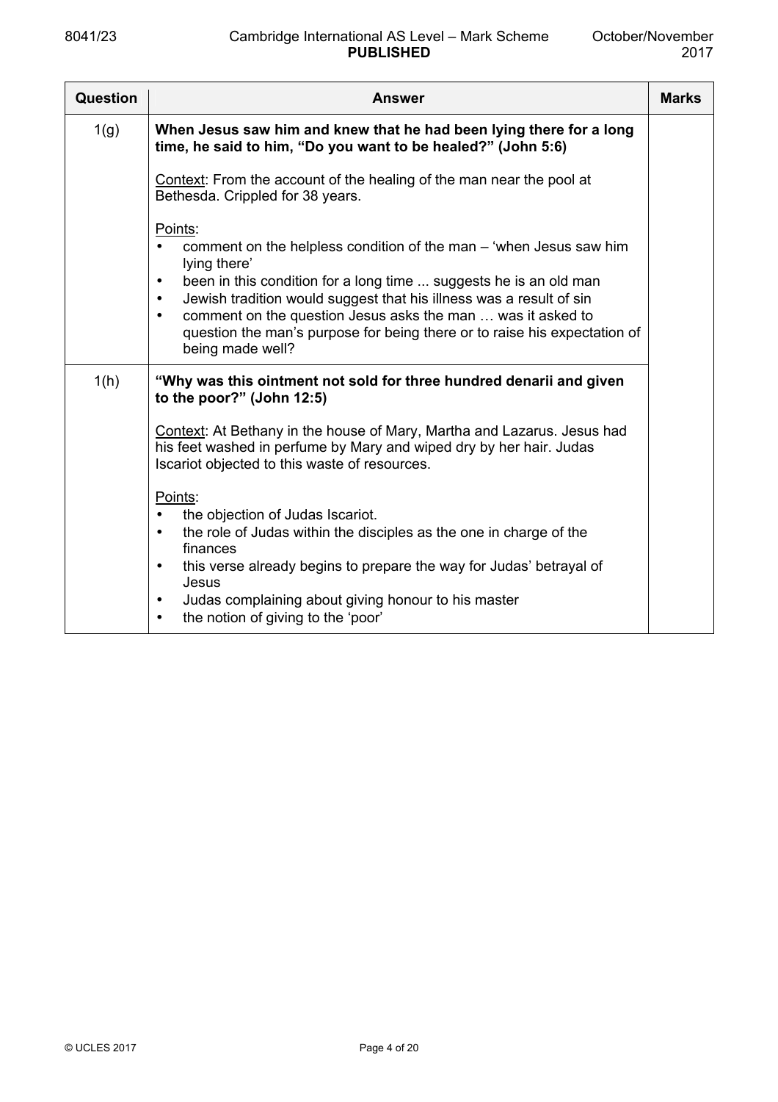| <b>Question</b> | <b>Answer</b>                                                                                                                                                                                                                                                                                                                                                                                                                                    | <b>Marks</b> |
|-----------------|--------------------------------------------------------------------------------------------------------------------------------------------------------------------------------------------------------------------------------------------------------------------------------------------------------------------------------------------------------------------------------------------------------------------------------------------------|--------------|
| 1(g)            | When Jesus saw him and knew that he had been lying there for a long<br>time, he said to him, "Do you want to be healed?" (John 5:6)                                                                                                                                                                                                                                                                                                              |              |
|                 | Context: From the account of the healing of the man near the pool at<br>Bethesda. Crippled for 38 years.                                                                                                                                                                                                                                                                                                                                         |              |
|                 | Points:<br>comment on the helpless condition of the man – 'when Jesus saw him<br>lying there'<br>been in this condition for a long time  suggests he is an old man<br>$\bullet$<br>Jewish tradition would suggest that his illness was a result of sin<br>$\bullet$<br>comment on the question Jesus asks the man  was it asked to<br>$\bullet$<br>question the man's purpose for being there or to raise his expectation of<br>being made well? |              |
| 1(h)            | "Why was this ointment not sold for three hundred denarii and given<br>to the poor?" (John 12:5)                                                                                                                                                                                                                                                                                                                                                 |              |
|                 | Context: At Bethany in the house of Mary, Martha and Lazarus. Jesus had<br>his feet washed in perfume by Mary and wiped dry by her hair. Judas<br>Iscariot objected to this waste of resources.                                                                                                                                                                                                                                                  |              |
|                 | Points:<br>the objection of Judas Iscariot.<br>the role of Judas within the disciples as the one in charge of the<br>$\bullet$<br>finances<br>this verse already begins to prepare the way for Judas' betrayal of<br>$\bullet$<br>Jesus<br>Judas complaining about giving honour to his master<br>$\bullet$<br>the notion of giving to the 'poor'<br>$\bullet$                                                                                   |              |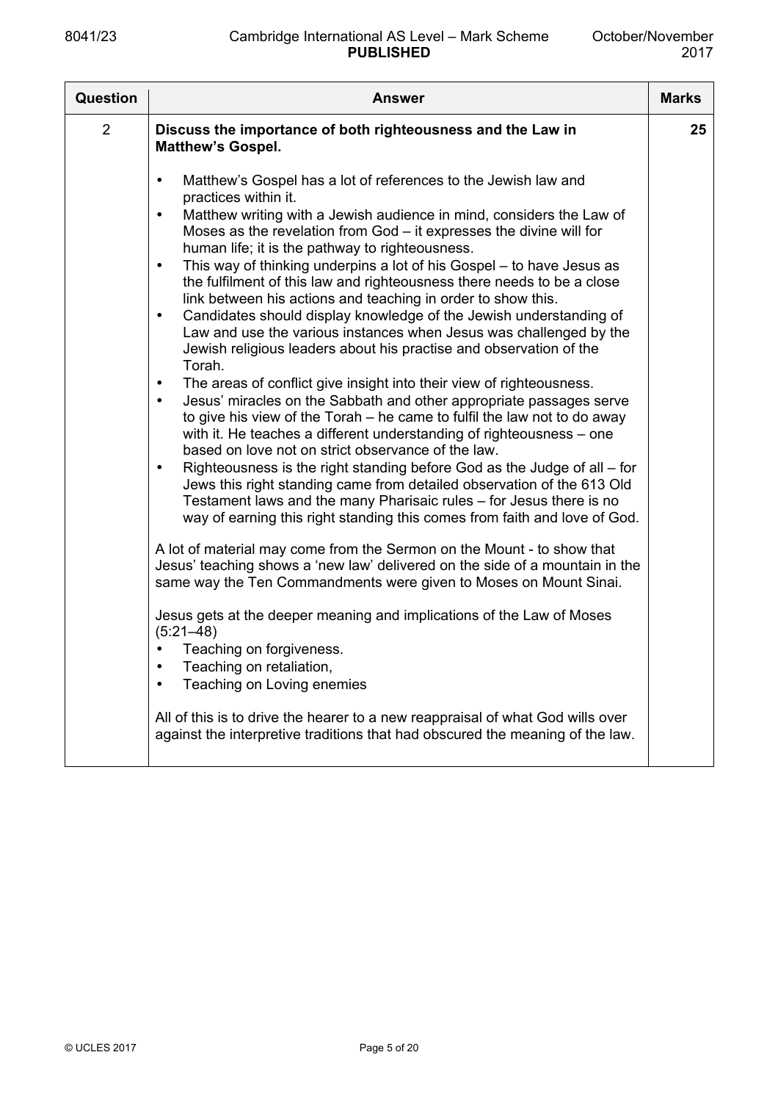| Question       | <b>Answer</b>                                                                                                                                                                                                                                                                                                                                                                                                                                                                                                                                                                                                                                                                                                                                                                                                                                                                                                                                                                                                                                                                                                                                                                                                                                                                                                                                                                                                                                                                                                                                                                                                                                                                                                                            | <b>Marks</b> |
|----------------|------------------------------------------------------------------------------------------------------------------------------------------------------------------------------------------------------------------------------------------------------------------------------------------------------------------------------------------------------------------------------------------------------------------------------------------------------------------------------------------------------------------------------------------------------------------------------------------------------------------------------------------------------------------------------------------------------------------------------------------------------------------------------------------------------------------------------------------------------------------------------------------------------------------------------------------------------------------------------------------------------------------------------------------------------------------------------------------------------------------------------------------------------------------------------------------------------------------------------------------------------------------------------------------------------------------------------------------------------------------------------------------------------------------------------------------------------------------------------------------------------------------------------------------------------------------------------------------------------------------------------------------------------------------------------------------------------------------------------------------|--------------|
| $\overline{2}$ | Discuss the importance of both righteousness and the Law in<br><b>Matthew's Gospel.</b>                                                                                                                                                                                                                                                                                                                                                                                                                                                                                                                                                                                                                                                                                                                                                                                                                                                                                                                                                                                                                                                                                                                                                                                                                                                                                                                                                                                                                                                                                                                                                                                                                                                  | 25           |
|                | Matthew's Gospel has a lot of references to the Jewish law and<br>$\bullet$<br>practices within it.<br>Matthew writing with a Jewish audience in mind, considers the Law of<br>$\bullet$<br>Moses as the revelation from $God - it$ expresses the divine will for<br>human life; it is the pathway to righteousness.<br>This way of thinking underpins a lot of his Gospel - to have Jesus as<br>$\bullet$<br>the fulfilment of this law and righteousness there needs to be a close<br>link between his actions and teaching in order to show this.<br>Candidates should display knowledge of the Jewish understanding of<br>$\bullet$<br>Law and use the various instances when Jesus was challenged by the<br>Jewish religious leaders about his practise and observation of the<br>Torah.<br>The areas of conflict give insight into their view of righteousness.<br>$\bullet$<br>Jesus' miracles on the Sabbath and other appropriate passages serve<br>$\bullet$<br>to give his view of the Torah – he came to fulfil the law not to do away<br>with it. He teaches a different understanding of righteousness – one<br>based on love not on strict observance of the law.<br>Righteousness is the right standing before God as the Judge of all $-$ for<br>$\bullet$<br>Jews this right standing came from detailed observation of the 613 Old<br>Testament laws and the many Pharisaic rules - for Jesus there is no<br>way of earning this right standing this comes from faith and love of God.<br>A lot of material may come from the Sermon on the Mount - to show that<br>Jesus' teaching shows a 'new law' delivered on the side of a mountain in the<br>same way the Ten Commandments were given to Moses on Mount Sinai. |              |
|                | Jesus gets at the deeper meaning and implications of the Law of Moses<br>$(5:21 - 48)$<br>Teaching on forgiveness.<br>Teaching on retaliation,<br>Teaching on Loving enemies<br>All of this is to drive the hearer to a new reappraisal of what God wills over<br>against the interpretive traditions that had obscured the meaning of the law.                                                                                                                                                                                                                                                                                                                                                                                                                                                                                                                                                                                                                                                                                                                                                                                                                                                                                                                                                                                                                                                                                                                                                                                                                                                                                                                                                                                          |              |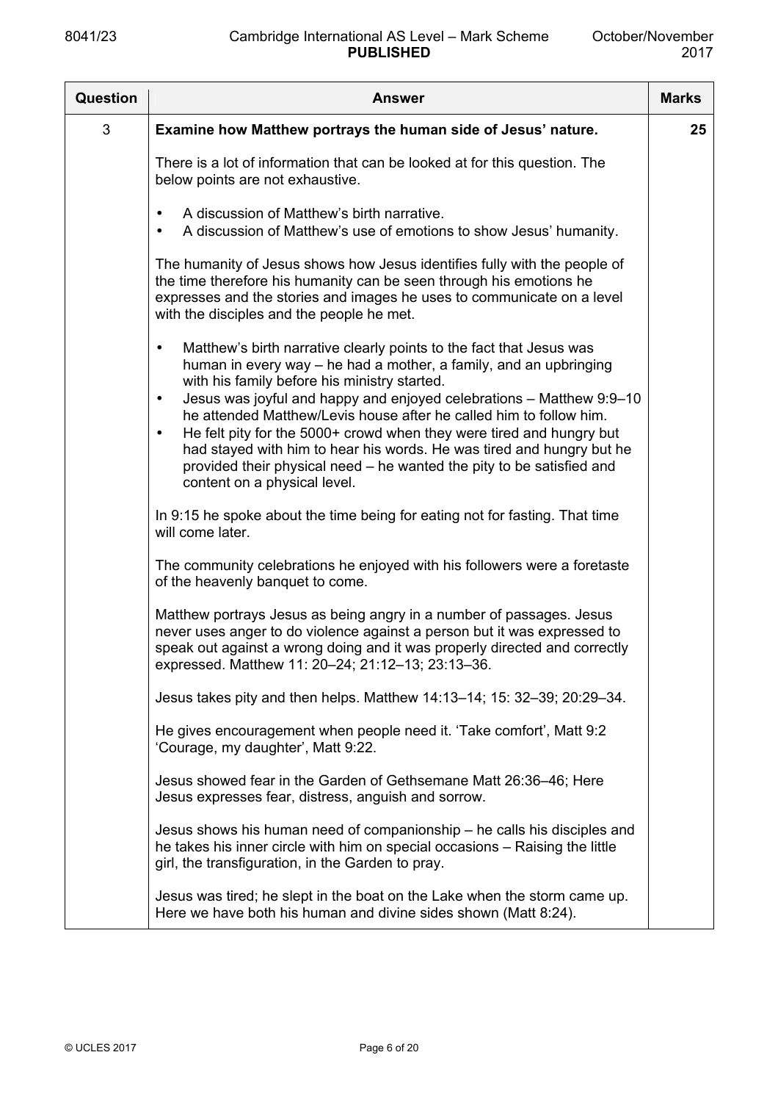| <b>Question</b> | <b>Answer</b>                                                                                                                                                                                                                                                                                                                                                                                                                                                                                                                                                                                                                           | <b>Marks</b> |
|-----------------|-----------------------------------------------------------------------------------------------------------------------------------------------------------------------------------------------------------------------------------------------------------------------------------------------------------------------------------------------------------------------------------------------------------------------------------------------------------------------------------------------------------------------------------------------------------------------------------------------------------------------------------------|--------------|
| 3               | Examine how Matthew portrays the human side of Jesus' nature.                                                                                                                                                                                                                                                                                                                                                                                                                                                                                                                                                                           | 25           |
|                 | There is a lot of information that can be looked at for this question. The<br>below points are not exhaustive.                                                                                                                                                                                                                                                                                                                                                                                                                                                                                                                          |              |
|                 | A discussion of Matthew's birth narrative.<br>$\bullet$<br>A discussion of Matthew's use of emotions to show Jesus' humanity.<br>$\bullet$                                                                                                                                                                                                                                                                                                                                                                                                                                                                                              |              |
|                 | The humanity of Jesus shows how Jesus identifies fully with the people of<br>the time therefore his humanity can be seen through his emotions he<br>expresses and the stories and images he uses to communicate on a level<br>with the disciples and the people he met.                                                                                                                                                                                                                                                                                                                                                                 |              |
|                 | Matthew's birth narrative clearly points to the fact that Jesus was<br>$\bullet$<br>human in every way – he had a mother, a family, and an upbringing<br>with his family before his ministry started.<br>Jesus was joyful and happy and enjoyed celebrations - Matthew 9:9-10<br>$\bullet$<br>he attended Matthew/Levis house after he called him to follow him.<br>He felt pity for the 5000+ crowd when they were tired and hungry but<br>$\bullet$<br>had stayed with him to hear his words. He was tired and hungry but he<br>provided their physical need – he wanted the pity to be satisfied and<br>content on a physical level. |              |
|                 | In 9:15 he spoke about the time being for eating not for fasting. That time<br>will come later.                                                                                                                                                                                                                                                                                                                                                                                                                                                                                                                                         |              |
|                 | The community celebrations he enjoyed with his followers were a foretaste<br>of the heavenly banquet to come.                                                                                                                                                                                                                                                                                                                                                                                                                                                                                                                           |              |
|                 | Matthew portrays Jesus as being angry in a number of passages. Jesus<br>never uses anger to do violence against a person but it was expressed to<br>speak out against a wrong doing and it was properly directed and correctly<br>expressed. Matthew 11: 20-24; 21:12-13; 23:13-36.                                                                                                                                                                                                                                                                                                                                                     |              |
|                 | Jesus takes pity and then helps. Matthew 14:13-14; 15: 32-39; 20:29-34.                                                                                                                                                                                                                                                                                                                                                                                                                                                                                                                                                                 |              |
|                 | He gives encouragement when people need it. 'Take comfort', Matt 9:2<br>'Courage, my daughter', Matt 9:22.                                                                                                                                                                                                                                                                                                                                                                                                                                                                                                                              |              |
|                 | Jesus showed fear in the Garden of Gethsemane Matt 26:36-46; Here<br>Jesus expresses fear, distress, anguish and sorrow.                                                                                                                                                                                                                                                                                                                                                                                                                                                                                                                |              |
|                 | Jesus shows his human need of companionship – he calls his disciples and<br>he takes his inner circle with him on special occasions - Raising the little<br>girl, the transfiguration, in the Garden to pray.                                                                                                                                                                                                                                                                                                                                                                                                                           |              |
|                 | Jesus was tired; he slept in the boat on the Lake when the storm came up.<br>Here we have both his human and divine sides shown (Matt 8:24).                                                                                                                                                                                                                                                                                                                                                                                                                                                                                            |              |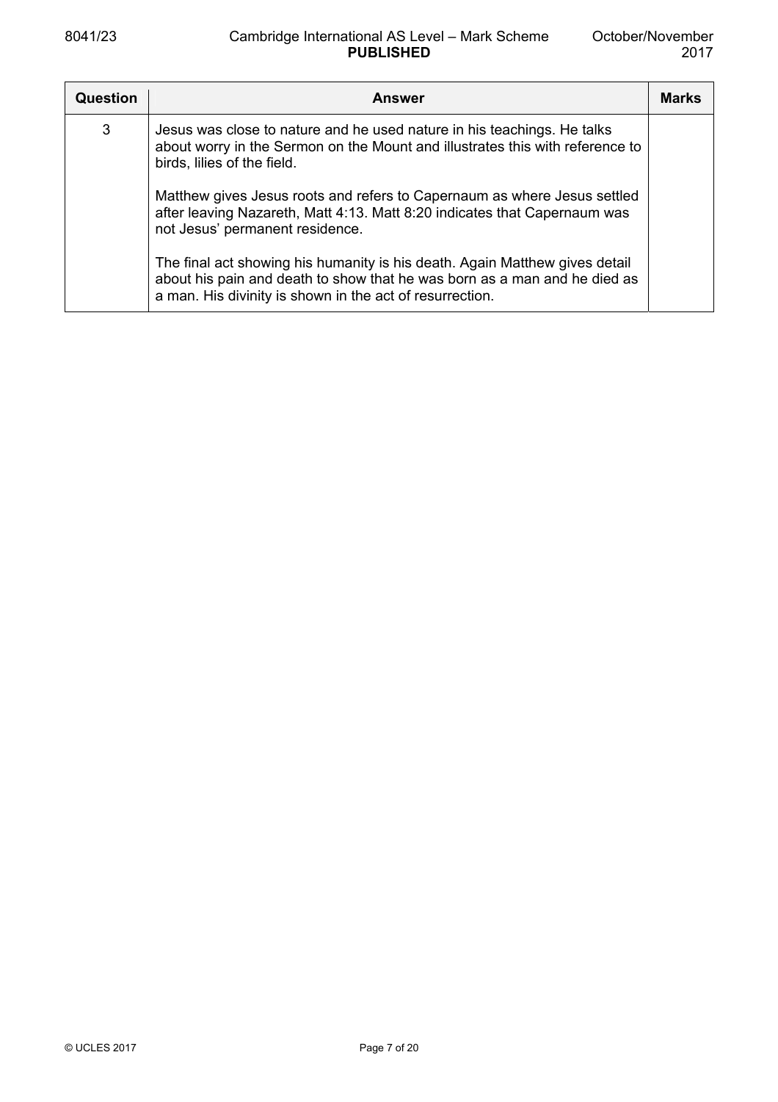| <b>Question</b> | <b>Answer</b>                                                                                                                                                                                                        | <b>Marks</b> |
|-----------------|----------------------------------------------------------------------------------------------------------------------------------------------------------------------------------------------------------------------|--------------|
| 3               | Jesus was close to nature and he used nature in his teachings. He talks<br>about worry in the Sermon on the Mount and illustrates this with reference to<br>birds, lilies of the field.                              |              |
|                 | Matthew gives Jesus roots and refers to Capernaum as where Jesus settled<br>after leaving Nazareth, Matt 4:13. Matt 8:20 indicates that Capernaum was<br>not Jesus' permanent residence.                             |              |
|                 | The final act showing his humanity is his death. Again Matthew gives detail<br>about his pain and death to show that he was born as a man and he died as<br>a man. His divinity is shown in the act of resurrection. |              |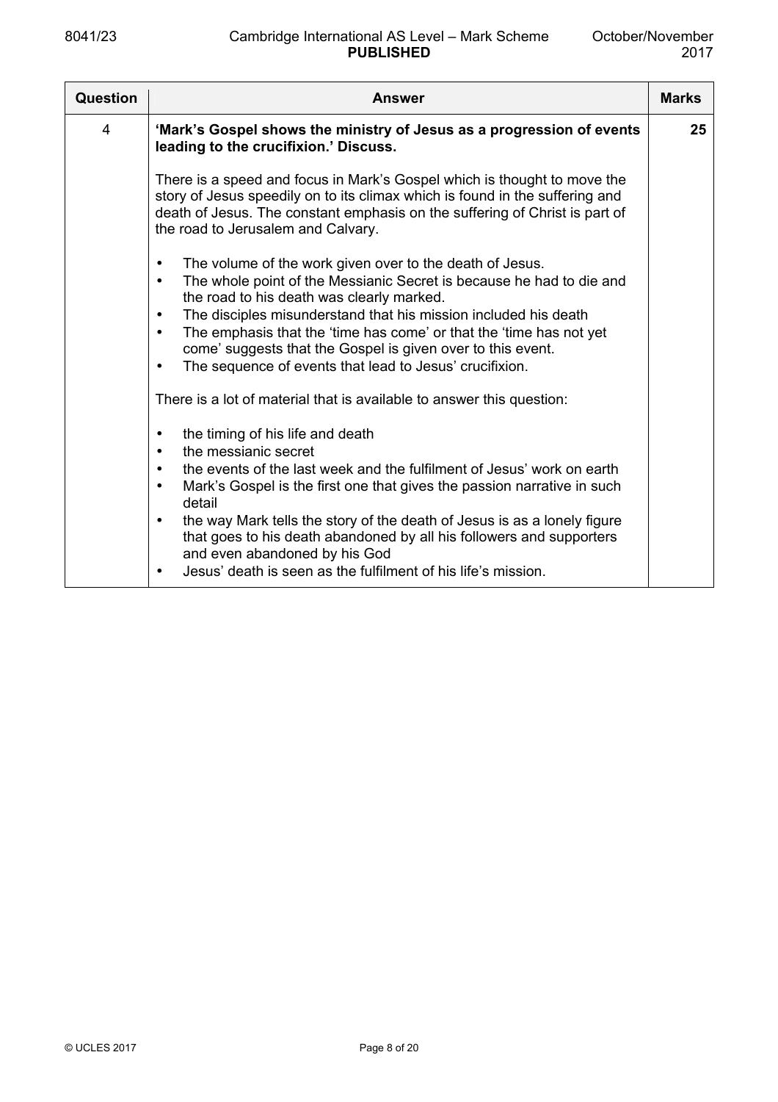| 'Mark's Gospel shows the ministry of Jesus as a progression of events<br>4<br>leading to the crucifixion.' Discuss.<br>There is a speed and focus in Mark's Gospel which is thought to move the<br>story of Jesus speedily on to its climax which is found in the suffering and<br>death of Jesus. The constant emphasis on the suffering of Christ is part of<br>the road to Jerusalem and Calvary.<br>The volume of the work given over to the death of Jesus.<br>$\bullet$<br>The whole point of the Messianic Secret is because he had to die and<br>$\bullet$<br>the road to his death was clearly marked.<br>The disciples misunderstand that his mission included his death<br>$\bullet$<br>The emphasis that the 'time has come' or that the 'time has not yet<br>$\bullet$<br>come' suggests that the Gospel is given over to this event.<br>The sequence of events that lead to Jesus' crucifixion.<br>$\bullet$<br>There is a lot of material that is available to answer this question:<br>the timing of his life and death<br>$\bullet$<br>the messianic secret<br>$\bullet$<br>the events of the last week and the fulfilment of Jesus' work on earth<br>$\bullet$<br>Mark's Gospel is the first one that gives the passion narrative in such<br>$\bullet$<br>detail<br>$\bullet$ | <b>Question</b> | <b>Answer</b>                                                            | <b>Marks</b> |
|-------------------------------------------------------------------------------------------------------------------------------------------------------------------------------------------------------------------------------------------------------------------------------------------------------------------------------------------------------------------------------------------------------------------------------------------------------------------------------------------------------------------------------------------------------------------------------------------------------------------------------------------------------------------------------------------------------------------------------------------------------------------------------------------------------------------------------------------------------------------------------------------------------------------------------------------------------------------------------------------------------------------------------------------------------------------------------------------------------------------------------------------------------------------------------------------------------------------------------------------------------------------------------------------------|-----------------|--------------------------------------------------------------------------|--------------|
|                                                                                                                                                                                                                                                                                                                                                                                                                                                                                                                                                                                                                                                                                                                                                                                                                                                                                                                                                                                                                                                                                                                                                                                                                                                                                                 |                 |                                                                          | 25           |
|                                                                                                                                                                                                                                                                                                                                                                                                                                                                                                                                                                                                                                                                                                                                                                                                                                                                                                                                                                                                                                                                                                                                                                                                                                                                                                 |                 |                                                                          |              |
| that goes to his death abandoned by all his followers and supporters<br>and even abandoned by his God<br>Jesus' death is seen as the fulfilment of his life's mission.<br>$\bullet$                                                                                                                                                                                                                                                                                                                                                                                                                                                                                                                                                                                                                                                                                                                                                                                                                                                                                                                                                                                                                                                                                                             |                 | the way Mark tells the story of the death of Jesus is as a lonely figure |              |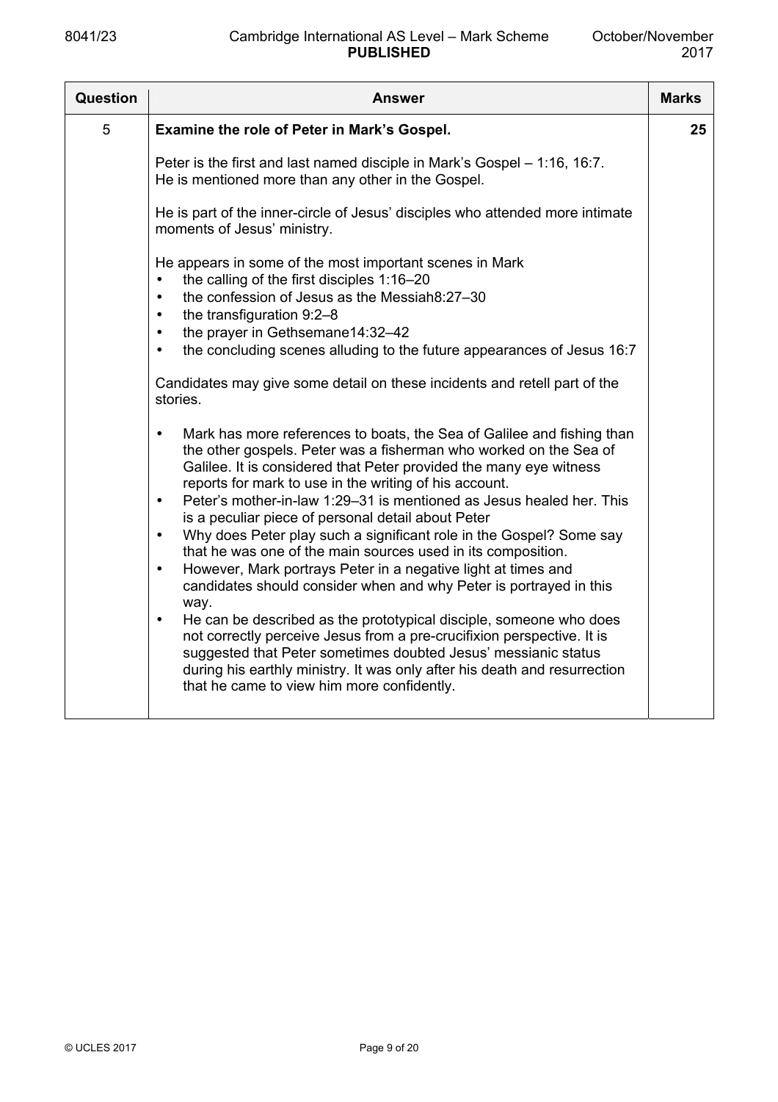| Question | Answer                                                                                                                                                                                                                                                                                                                                                                                                                                                                                                                                                                                                                                                                                                                                                                                                                                                                                                                                                                                                                                                                                                                                                                                                                                                                                                                                                                                                                                                                                                                                                                       | <b>Marks</b> |
|----------|------------------------------------------------------------------------------------------------------------------------------------------------------------------------------------------------------------------------------------------------------------------------------------------------------------------------------------------------------------------------------------------------------------------------------------------------------------------------------------------------------------------------------------------------------------------------------------------------------------------------------------------------------------------------------------------------------------------------------------------------------------------------------------------------------------------------------------------------------------------------------------------------------------------------------------------------------------------------------------------------------------------------------------------------------------------------------------------------------------------------------------------------------------------------------------------------------------------------------------------------------------------------------------------------------------------------------------------------------------------------------------------------------------------------------------------------------------------------------------------------------------------------------------------------------------------------------|--------------|
| 5        | Examine the role of Peter in Mark's Gospel.                                                                                                                                                                                                                                                                                                                                                                                                                                                                                                                                                                                                                                                                                                                                                                                                                                                                                                                                                                                                                                                                                                                                                                                                                                                                                                                                                                                                                                                                                                                                  | 25           |
|          | Peter is the first and last named disciple in Mark's Gospel - 1:16, 16:7.<br>He is mentioned more than any other in the Gospel.                                                                                                                                                                                                                                                                                                                                                                                                                                                                                                                                                                                                                                                                                                                                                                                                                                                                                                                                                                                                                                                                                                                                                                                                                                                                                                                                                                                                                                              |              |
|          | He is part of the inner-circle of Jesus' disciples who attended more intimate<br>moments of Jesus' ministry.                                                                                                                                                                                                                                                                                                                                                                                                                                                                                                                                                                                                                                                                                                                                                                                                                                                                                                                                                                                                                                                                                                                                                                                                                                                                                                                                                                                                                                                                 |              |
|          | He appears in some of the most important scenes in Mark<br>the calling of the first disciples 1:16-20<br>$\bullet$<br>the confession of Jesus as the Messiah8:27-30<br>$\bullet$<br>the transfiguration 9:2-8<br>$\bullet$<br>the prayer in Gethsemane14:32-42<br>$\bullet$<br>the concluding scenes alluding to the future appearances of Jesus 16:7<br>$\bullet$<br>Candidates may give some detail on these incidents and retell part of the<br>stories.<br>Mark has more references to boats, the Sea of Galilee and fishing than<br>$\bullet$<br>the other gospels. Peter was a fisherman who worked on the Sea of<br>Galilee. It is considered that Peter provided the many eye witness<br>reports for mark to use in the writing of his account.<br>Peter's mother-in-law 1:29–31 is mentioned as Jesus healed her. This<br>$\bullet$<br>is a peculiar piece of personal detail about Peter<br>Why does Peter play such a significant role in the Gospel? Some say<br>$\bullet$<br>that he was one of the main sources used in its composition.<br>However, Mark portrays Peter in a negative light at times and<br>$\bullet$<br>candidates should consider when and why Peter is portrayed in this<br>way.<br>He can be described as the prototypical disciple, someone who does<br>$\bullet$<br>not correctly perceive Jesus from a pre-crucifixion perspective. It is<br>suggested that Peter sometimes doubted Jesus' messianic status<br>during his earthly ministry. It was only after his death and resurrection<br>that he came to view him more confidently. |              |
|          |                                                                                                                                                                                                                                                                                                                                                                                                                                                                                                                                                                                                                                                                                                                                                                                                                                                                                                                                                                                                                                                                                                                                                                                                                                                                                                                                                                                                                                                                                                                                                                              |              |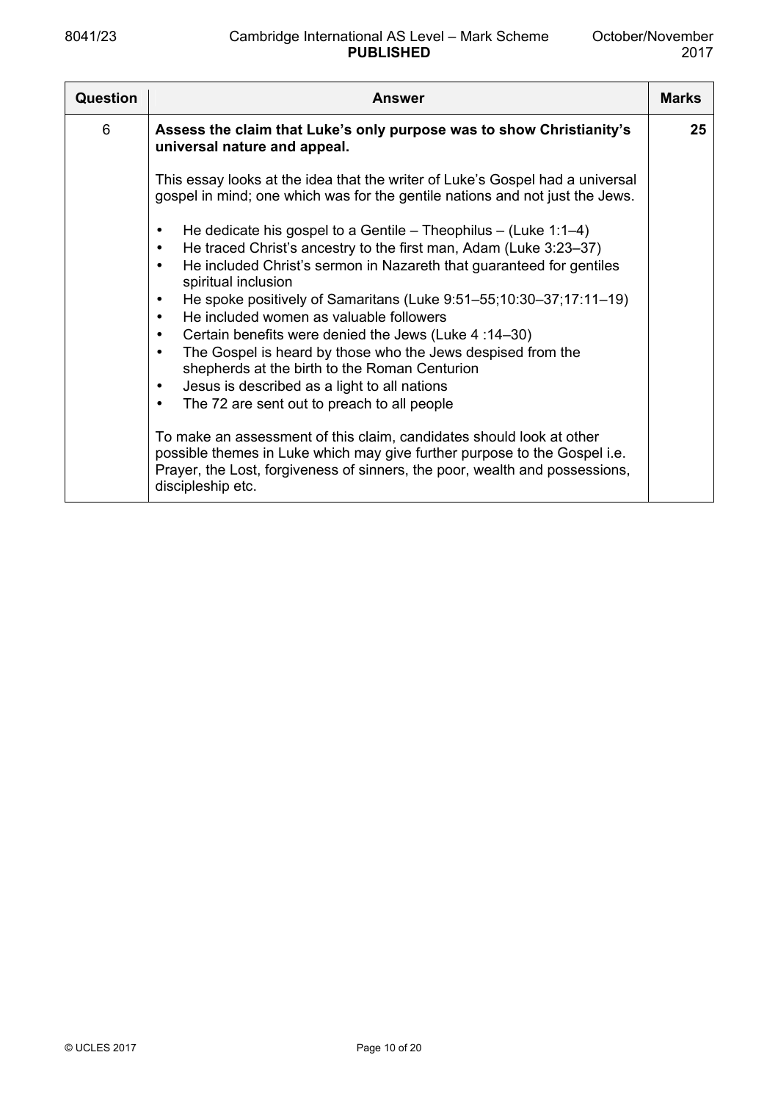| Question | <b>Answer</b>                                                                                                                                                                                                                                                                                                                                                                                                                                                                                                                                                                                                                                                                               | <b>Marks</b> |
|----------|---------------------------------------------------------------------------------------------------------------------------------------------------------------------------------------------------------------------------------------------------------------------------------------------------------------------------------------------------------------------------------------------------------------------------------------------------------------------------------------------------------------------------------------------------------------------------------------------------------------------------------------------------------------------------------------------|--------------|
| 6        | Assess the claim that Luke's only purpose was to show Christianity's<br>universal nature and appeal.                                                                                                                                                                                                                                                                                                                                                                                                                                                                                                                                                                                        | 25           |
|          | This essay looks at the idea that the writer of Luke's Gospel had a universal<br>gospel in mind; one which was for the gentile nations and not just the Jews.                                                                                                                                                                                                                                                                                                                                                                                                                                                                                                                               |              |
|          | He dedicate his gospel to a Gentile – Theophilus – (Luke 1:1–4)<br>He traced Christ's ancestry to the first man, Adam (Luke 3:23–37)<br>٠<br>He included Christ's sermon in Nazareth that guaranteed for gentiles<br>٠<br>spiritual inclusion<br>He spoke positively of Samaritans (Luke 9:51–55;10:30–37;17:11–19)<br>٠<br>He included women as valuable followers<br>$\bullet$<br>Certain benefits were denied the Jews (Luke 4:14-30)<br>$\bullet$<br>The Gospel is heard by those who the Jews despised from the<br>$\bullet$<br>shepherds at the birth to the Roman Centurion<br>Jesus is described as a light to all nations<br>٠<br>The 72 are sent out to preach to all people<br>٠ |              |
|          | To make an assessment of this claim, candidates should look at other<br>possible themes in Luke which may give further purpose to the Gospel i.e.<br>Prayer, the Lost, forgiveness of sinners, the poor, wealth and possessions,<br>discipleship etc.                                                                                                                                                                                                                                                                                                                                                                                                                                       |              |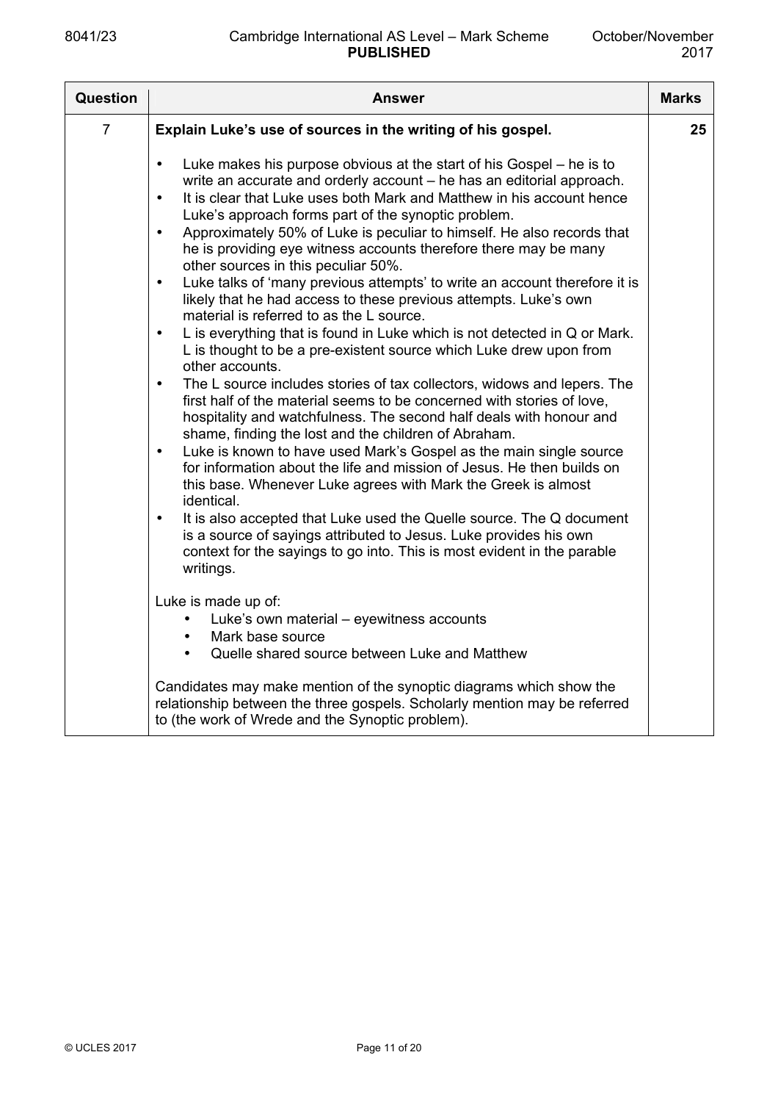| Question       | <b>Answer</b>                                                                                                                                                                                                                                                                                                                                                                                                                                                                                                                                                                                                                                                                                                                                                                                                                                                                                                                                                                                                                                                                                                                                                                                                                                                                                                                                                                                                                                                                                                                                                                                                                                                                                          | <b>Marks</b> |
|----------------|--------------------------------------------------------------------------------------------------------------------------------------------------------------------------------------------------------------------------------------------------------------------------------------------------------------------------------------------------------------------------------------------------------------------------------------------------------------------------------------------------------------------------------------------------------------------------------------------------------------------------------------------------------------------------------------------------------------------------------------------------------------------------------------------------------------------------------------------------------------------------------------------------------------------------------------------------------------------------------------------------------------------------------------------------------------------------------------------------------------------------------------------------------------------------------------------------------------------------------------------------------------------------------------------------------------------------------------------------------------------------------------------------------------------------------------------------------------------------------------------------------------------------------------------------------------------------------------------------------------------------------------------------------------------------------------------------------|--------------|
| $\overline{7}$ | Explain Luke's use of sources in the writing of his gospel.                                                                                                                                                                                                                                                                                                                                                                                                                                                                                                                                                                                                                                                                                                                                                                                                                                                                                                                                                                                                                                                                                                                                                                                                                                                                                                                                                                                                                                                                                                                                                                                                                                            | 25           |
|                | Luke makes his purpose obvious at the start of his Gospel – he is to<br>$\bullet$<br>write an accurate and orderly account - he has an editorial approach.<br>It is clear that Luke uses both Mark and Matthew in his account hence<br>$\bullet$<br>Luke's approach forms part of the synoptic problem.<br>Approximately 50% of Luke is peculiar to himself. He also records that<br>$\bullet$<br>he is providing eye witness accounts therefore there may be many<br>other sources in this peculiar 50%.<br>Luke talks of 'many previous attempts' to write an account therefore it is<br>$\bullet$<br>likely that he had access to these previous attempts. Luke's own<br>material is referred to as the L source.<br>L is everything that is found in Luke which is not detected in Q or Mark.<br>$\bullet$<br>L is thought to be a pre-existent source which Luke drew upon from<br>other accounts.<br>The L source includes stories of tax collectors, widows and lepers. The<br>$\bullet$<br>first half of the material seems to be concerned with stories of love,<br>hospitality and watchfulness. The second half deals with honour and<br>shame, finding the lost and the children of Abraham.<br>Luke is known to have used Mark's Gospel as the main single source<br>$\bullet$<br>for information about the life and mission of Jesus. He then builds on<br>this base. Whenever Luke agrees with Mark the Greek is almost<br>identical.<br>It is also accepted that Luke used the Quelle source. The Q document<br>$\bullet$<br>is a source of sayings attributed to Jesus. Luke provides his own<br>context for the sayings to go into. This is most evident in the parable<br>writings. |              |
|                | Luke is made up of:<br>Luke's own material - eyewitness accounts<br>Mark base source                                                                                                                                                                                                                                                                                                                                                                                                                                                                                                                                                                                                                                                                                                                                                                                                                                                                                                                                                                                                                                                                                                                                                                                                                                                                                                                                                                                                                                                                                                                                                                                                                   |              |
|                | Quelle shared source between Luke and Matthew<br>Candidates may make mention of the synoptic diagrams which show the<br>relationship between the three gospels. Scholarly mention may be referred<br>to (the work of Wrede and the Synoptic problem).                                                                                                                                                                                                                                                                                                                                                                                                                                                                                                                                                                                                                                                                                                                                                                                                                                                                                                                                                                                                                                                                                                                                                                                                                                                                                                                                                                                                                                                  |              |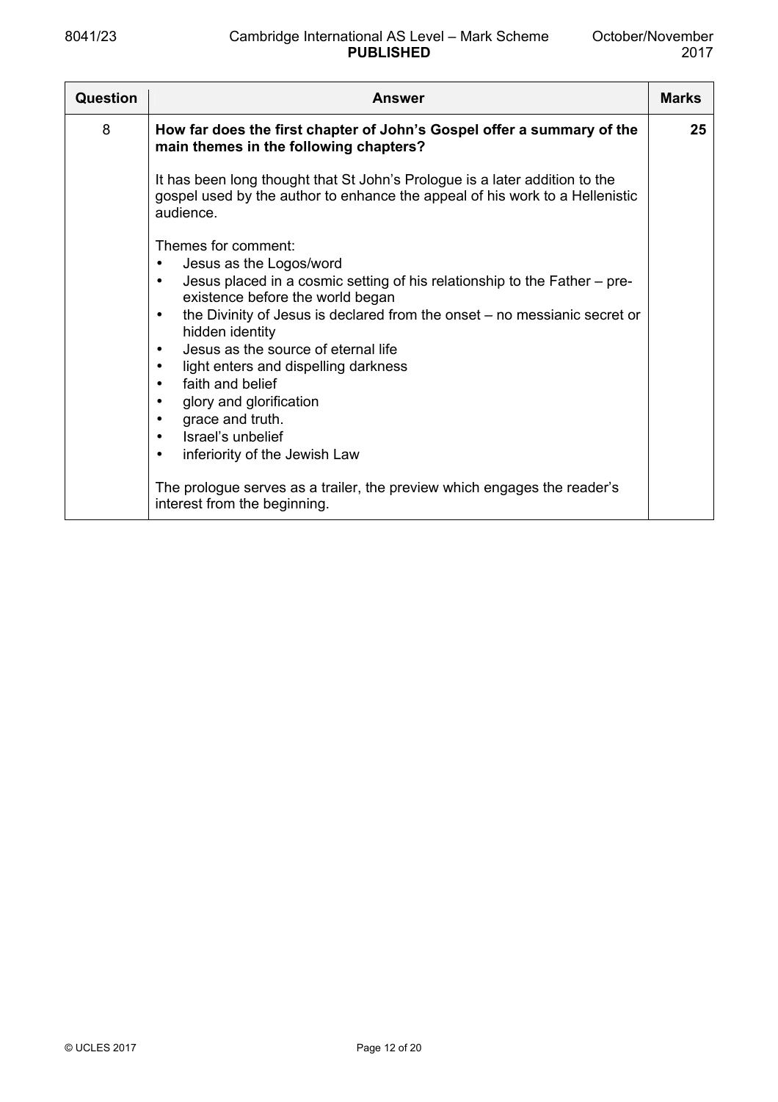| <b>Question</b> | <b>Answer</b>                                                                                                                                                                                                                                                                                                                                                                                                                                                                                                                                                                                             | <b>Marks</b> |
|-----------------|-----------------------------------------------------------------------------------------------------------------------------------------------------------------------------------------------------------------------------------------------------------------------------------------------------------------------------------------------------------------------------------------------------------------------------------------------------------------------------------------------------------------------------------------------------------------------------------------------------------|--------------|
| 8               | How far does the first chapter of John's Gospel offer a summary of the<br>main themes in the following chapters?                                                                                                                                                                                                                                                                                                                                                                                                                                                                                          | 25           |
|                 | It has been long thought that St John's Prologue is a later addition to the<br>gospel used by the author to enhance the appeal of his work to a Hellenistic<br>audience.                                                                                                                                                                                                                                                                                                                                                                                                                                  |              |
|                 | Themes for comment:<br>Jesus as the Logos/word<br>$\bullet$<br>Jesus placed in a cosmic setting of his relationship to the Father - pre-<br>$\bullet$<br>existence before the world began<br>the Divinity of Jesus is declared from the onset – no messianic secret or<br>$\bullet$<br>hidden identity<br>Jesus as the source of eternal life<br>$\bullet$<br>light enters and dispelling darkness<br>$\bullet$<br>faith and belief<br>$\bullet$<br>glory and glorification<br>$\bullet$<br>grace and truth.<br>$\bullet$<br>Israel's unbelief<br>$\bullet$<br>inferiority of the Jewish Law<br>$\bullet$ |              |
|                 | The prologue serves as a trailer, the preview which engages the reader's<br>interest from the beginning.                                                                                                                                                                                                                                                                                                                                                                                                                                                                                                  |              |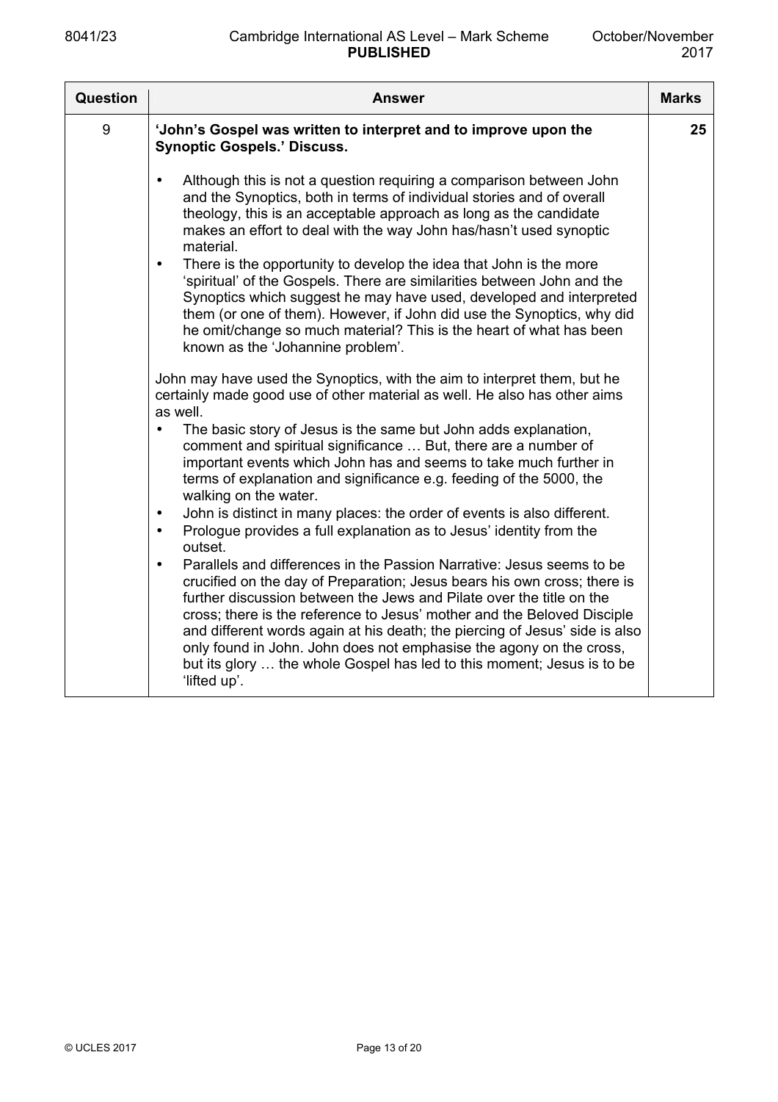| Question | <b>Answer</b>                                                                                                                                                                                                                                                                                                                                                                                                                                                                                                                                                                                                                                                                                                                                | <b>Marks</b> |
|----------|----------------------------------------------------------------------------------------------------------------------------------------------------------------------------------------------------------------------------------------------------------------------------------------------------------------------------------------------------------------------------------------------------------------------------------------------------------------------------------------------------------------------------------------------------------------------------------------------------------------------------------------------------------------------------------------------------------------------------------------------|--------------|
| 9        | 'John's Gospel was written to interpret and to improve upon the<br><b>Synoptic Gospels.' Discuss.</b>                                                                                                                                                                                                                                                                                                                                                                                                                                                                                                                                                                                                                                        | 25           |
|          | Although this is not a question requiring a comparison between John<br>$\bullet$<br>and the Synoptics, both in terms of individual stories and of overall<br>theology, this is an acceptable approach as long as the candidate<br>makes an effort to deal with the way John has/hasn't used synoptic<br>material.<br>There is the opportunity to develop the idea that John is the more<br>$\bullet$<br>'spiritual' of the Gospels. There are similarities between John and the<br>Synoptics which suggest he may have used, developed and interpreted<br>them (or one of them). However, if John did use the Synoptics, why did<br>he omit/change so much material? This is the heart of what has been<br>known as the 'Johannine problem'. |              |
|          | John may have used the Synoptics, with the aim to interpret them, but he<br>certainly made good use of other material as well. He also has other aims<br>as well.                                                                                                                                                                                                                                                                                                                                                                                                                                                                                                                                                                            |              |
|          | The basic story of Jesus is the same but John adds explanation,<br>comment and spiritual significance  But, there are a number of<br>important events which John has and seems to take much further in<br>terms of explanation and significance e.g. feeding of the 5000, the<br>walking on the water.                                                                                                                                                                                                                                                                                                                                                                                                                                       |              |
|          | John is distinct in many places: the order of events is also different.<br>$\bullet$<br>Prologue provides a full explanation as to Jesus' identity from the<br>$\bullet$<br>outset.                                                                                                                                                                                                                                                                                                                                                                                                                                                                                                                                                          |              |
|          | Parallels and differences in the Passion Narrative: Jesus seems to be<br>$\bullet$<br>crucified on the day of Preparation; Jesus bears his own cross; there is<br>further discussion between the Jews and Pilate over the title on the<br>cross; there is the reference to Jesus' mother and the Beloved Disciple<br>and different words again at his death; the piercing of Jesus' side is also<br>only found in John. John does not emphasise the agony on the cross,<br>but its glory  the whole Gospel has led to this moment; Jesus is to be<br>'lifted up'.                                                                                                                                                                            |              |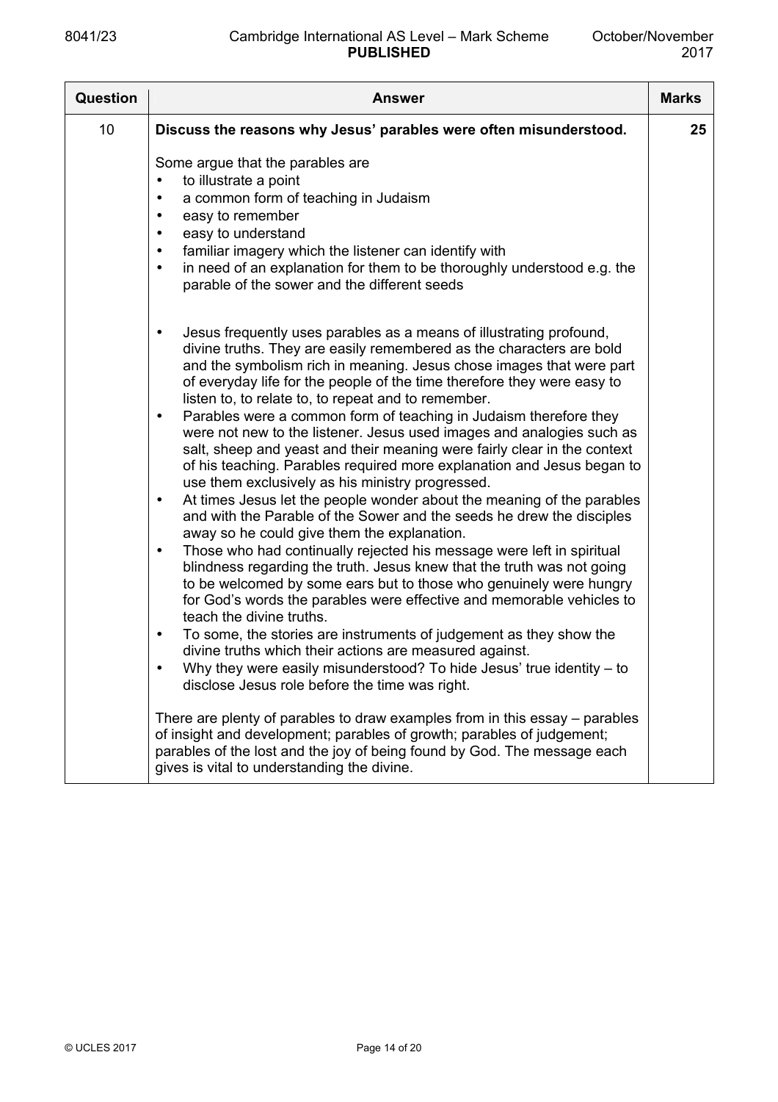| <b>Question</b> | <b>Answer</b>                                                                                                                                                                                                                                                                                                                                                                                                                                                                                                                                                                                                                                                                                                                                                                                                                                                                                                                                                                                                                                                                                                                                                                                                                                                                                                                                                                                                                                                                                                                                                              | <b>Marks</b> |
|-----------------|----------------------------------------------------------------------------------------------------------------------------------------------------------------------------------------------------------------------------------------------------------------------------------------------------------------------------------------------------------------------------------------------------------------------------------------------------------------------------------------------------------------------------------------------------------------------------------------------------------------------------------------------------------------------------------------------------------------------------------------------------------------------------------------------------------------------------------------------------------------------------------------------------------------------------------------------------------------------------------------------------------------------------------------------------------------------------------------------------------------------------------------------------------------------------------------------------------------------------------------------------------------------------------------------------------------------------------------------------------------------------------------------------------------------------------------------------------------------------------------------------------------------------------------------------------------------------|--------------|
| 10              | Discuss the reasons why Jesus' parables were often misunderstood.                                                                                                                                                                                                                                                                                                                                                                                                                                                                                                                                                                                                                                                                                                                                                                                                                                                                                                                                                                                                                                                                                                                                                                                                                                                                                                                                                                                                                                                                                                          | 25           |
|                 | Some argue that the parables are<br>to illustrate a point<br>a common form of teaching in Judaism<br>$\bullet$<br>easy to remember<br>$\bullet$<br>easy to understand<br>$\bullet$<br>familiar imagery which the listener can identify with<br>$\bullet$<br>in need of an explanation for them to be thoroughly understood e.g. the<br>$\bullet$<br>parable of the sower and the different seeds                                                                                                                                                                                                                                                                                                                                                                                                                                                                                                                                                                                                                                                                                                                                                                                                                                                                                                                                                                                                                                                                                                                                                                           |              |
|                 | Jesus frequently uses parables as a means of illustrating profound,<br>$\bullet$<br>divine truths. They are easily remembered as the characters are bold<br>and the symbolism rich in meaning. Jesus chose images that were part<br>of everyday life for the people of the time therefore they were easy to<br>listen to, to relate to, to repeat and to remember.<br>Parables were a common form of teaching in Judaism therefore they<br>$\bullet$<br>were not new to the listener. Jesus used images and analogies such as<br>salt, sheep and yeast and their meaning were fairly clear in the context<br>of his teaching. Parables required more explanation and Jesus began to<br>use them exclusively as his ministry progressed.<br>At times Jesus let the people wonder about the meaning of the parables<br>$\bullet$<br>and with the Parable of the Sower and the seeds he drew the disciples<br>away so he could give them the explanation.<br>Those who had continually rejected his message were left in spiritual<br>$\bullet$<br>blindness regarding the truth. Jesus knew that the truth was not going<br>to be welcomed by some ears but to those who genuinely were hungry<br>for God's words the parables were effective and memorable vehicles to<br>teach the divine truths.<br>To some, the stories are instruments of judgement as they show the<br>$\bullet$<br>divine truths which their actions are measured against.<br>Why they were easily misunderstood? To hide Jesus' true identity - to<br>disclose Jesus role before the time was right. |              |
|                 | There are plenty of parables to draw examples from in this essay – parables<br>of insight and development; parables of growth; parables of judgement;<br>parables of the lost and the joy of being found by God. The message each<br>gives is vital to understanding the divine.                                                                                                                                                                                                                                                                                                                                                                                                                                                                                                                                                                                                                                                                                                                                                                                                                                                                                                                                                                                                                                                                                                                                                                                                                                                                                           |              |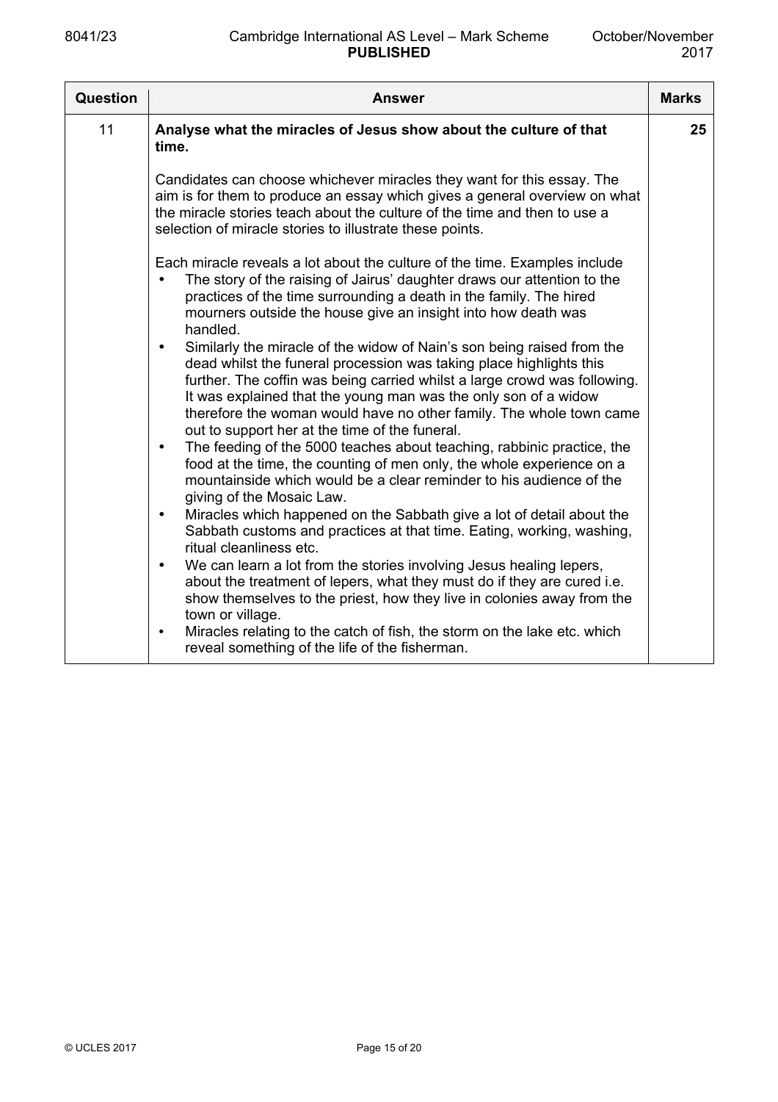| Question | <b>Answer</b>                                                                                                                                                                                                                                                                                                                                                                                                          | <b>Marks</b> |
|----------|------------------------------------------------------------------------------------------------------------------------------------------------------------------------------------------------------------------------------------------------------------------------------------------------------------------------------------------------------------------------------------------------------------------------|--------------|
| 11       | Analyse what the miracles of Jesus show about the culture of that<br>time.                                                                                                                                                                                                                                                                                                                                             | 25           |
|          | Candidates can choose whichever miracles they want for this essay. The<br>aim is for them to produce an essay which gives a general overview on what<br>the miracle stories teach about the culture of the time and then to use a<br>selection of miracle stories to illustrate these points.                                                                                                                          |              |
|          | Each miracle reveals a lot about the culture of the time. Examples include<br>The story of the raising of Jairus' daughter draws our attention to the<br>practices of the time surrounding a death in the family. The hired<br>mourners outside the house give an insight into how death was<br>handled.                                                                                                               |              |
|          | Similarly the miracle of the widow of Nain's son being raised from the<br>dead whilst the funeral procession was taking place highlights this<br>further. The coffin was being carried whilst a large crowd was following.<br>It was explained that the young man was the only son of a widow<br>therefore the woman would have no other family. The whole town came<br>out to support her at the time of the funeral. |              |
|          | The feeding of the 5000 teaches about teaching, rabbinic practice, the<br>$\bullet$<br>food at the time, the counting of men only, the whole experience on a<br>mountainside which would be a clear reminder to his audience of the<br>giving of the Mosaic Law.                                                                                                                                                       |              |
|          | Miracles which happened on the Sabbath give a lot of detail about the<br>$\bullet$<br>Sabbath customs and practices at that time. Eating, working, washing,<br>ritual cleanliness etc.                                                                                                                                                                                                                                 |              |
|          | We can learn a lot from the stories involving Jesus healing lepers,<br>$\bullet$<br>about the treatment of lepers, what they must do if they are cured i.e.<br>show themselves to the priest, how they live in colonies away from the<br>town or village.                                                                                                                                                              |              |
|          | Miracles relating to the catch of fish, the storm on the lake etc. which<br>$\bullet$<br>reveal something of the life of the fisherman.                                                                                                                                                                                                                                                                                |              |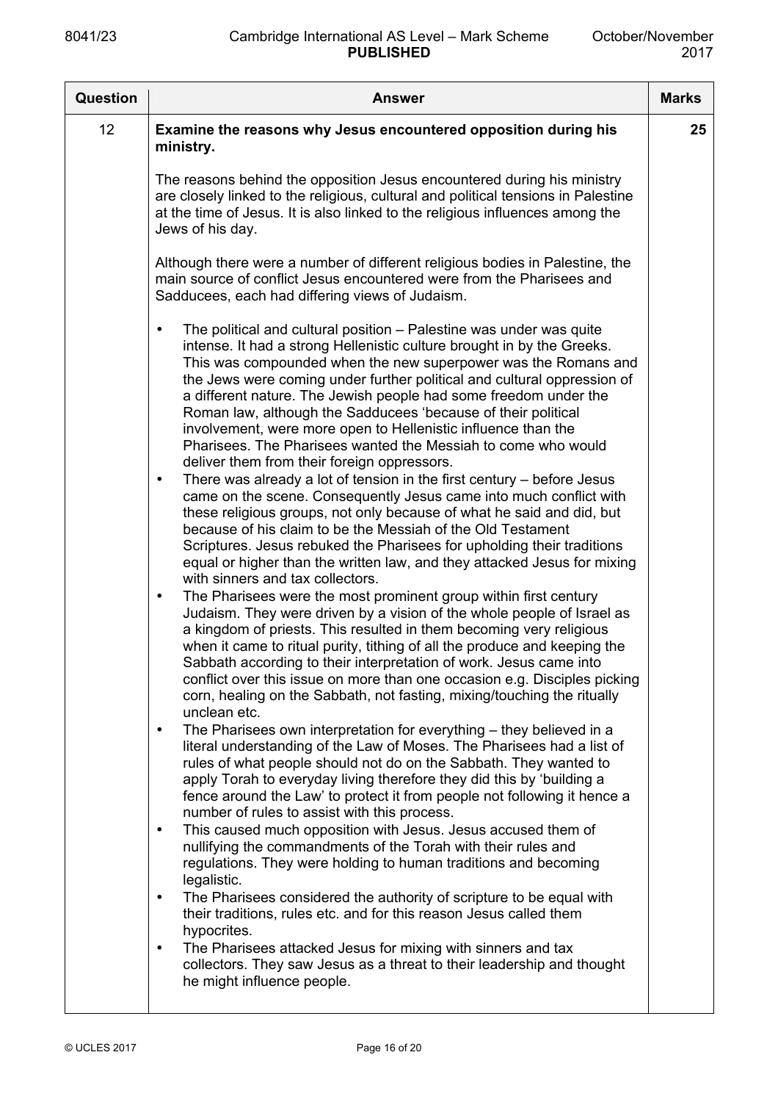| <b>Question</b> | <b>Answer</b>                                                                                                                                                                                                                                                                                                                                                                                                                                                                                                                                                                                                                                                                                                                                                                                                                                                                                                                                                                                                                                                                                                                                                                                                                                                                                                                                                                                                                                                                                                                                                                                                                                                                                                                                                                                                                                                                                                                                                                                                                                                                                                                                                                                                       | <b>Marks</b> |
|-----------------|---------------------------------------------------------------------------------------------------------------------------------------------------------------------------------------------------------------------------------------------------------------------------------------------------------------------------------------------------------------------------------------------------------------------------------------------------------------------------------------------------------------------------------------------------------------------------------------------------------------------------------------------------------------------------------------------------------------------------------------------------------------------------------------------------------------------------------------------------------------------------------------------------------------------------------------------------------------------------------------------------------------------------------------------------------------------------------------------------------------------------------------------------------------------------------------------------------------------------------------------------------------------------------------------------------------------------------------------------------------------------------------------------------------------------------------------------------------------------------------------------------------------------------------------------------------------------------------------------------------------------------------------------------------------------------------------------------------------------------------------------------------------------------------------------------------------------------------------------------------------------------------------------------------------------------------------------------------------------------------------------------------------------------------------------------------------------------------------------------------------------------------------------------------------------------------------------------------------|--------------|
| 12              | Examine the reasons why Jesus encountered opposition during his<br>ministry.<br>The reasons behind the opposition Jesus encountered during his ministry<br>are closely linked to the religious, cultural and political tensions in Palestine<br>at the time of Jesus. It is also linked to the religious influences among the<br>Jews of his day.<br>Although there were a number of different religious bodies in Palestine, the<br>main source of conflict Jesus encountered were from the Pharisees and<br>Sadducees, each had differing views of Judaism.<br>The political and cultural position – Palestine was under was quite<br>$\bullet$<br>intense. It had a strong Hellenistic culture brought in by the Greeks.<br>This was compounded when the new superpower was the Romans and<br>the Jews were coming under further political and cultural oppression of<br>a different nature. The Jewish people had some freedom under the<br>Roman law, although the Sadducees 'because of their political<br>involvement, were more open to Hellenistic influence than the                                                                                                                                                                                                                                                                                                                                                                                                                                                                                                                                                                                                                                                                                                                                                                                                                                                                                                                                                                                                                                                                                                                                      | 25           |
|                 | Pharisees. The Pharisees wanted the Messiah to come who would<br>deliver them from their foreign oppressors.<br>There was already a lot of tension in the first century $-$ before Jesus<br>$\bullet$<br>came on the scene. Consequently Jesus came into much conflict with<br>these religious groups, not only because of what he said and did, but<br>because of his claim to be the Messiah of the Old Testament<br>Scriptures. Jesus rebuked the Pharisees for upholding their traditions<br>equal or higher than the written law, and they attacked Jesus for mixing<br>with sinners and tax collectors.<br>The Pharisees were the most prominent group within first century<br>$\bullet$<br>Judaism. They were driven by a vision of the whole people of Israel as<br>a kingdom of priests. This resulted in them becoming very religious<br>when it came to ritual purity, tithing of all the produce and keeping the<br>Sabbath according to their interpretation of work. Jesus came into<br>conflict over this issue on more than one occasion e.g. Disciples picking<br>corn, healing on the Sabbath, not fasting, mixing/touching the ritually<br>unclean etc.<br>The Pharisees own interpretation for everything - they believed in a<br>$\bullet$<br>literal understanding of the Law of Moses. The Pharisees had a list of<br>rules of what people should not do on the Sabbath. They wanted to<br>apply Torah to everyday living therefore they did this by 'building a<br>fence around the Law' to protect it from people not following it hence a<br>number of rules to assist with this process.<br>This caused much opposition with Jesus. Jesus accused them of<br>$\bullet$<br>nullifying the commandments of the Torah with their rules and<br>regulations. They were holding to human traditions and becoming<br>legalistic.<br>The Pharisees considered the authority of scripture to be equal with<br>$\bullet$<br>their traditions, rules etc. and for this reason Jesus called them<br>hypocrites.<br>The Pharisees attacked Jesus for mixing with sinners and tax<br>$\bullet$<br>collectors. They saw Jesus as a threat to their leadership and thought<br>he might influence people. |              |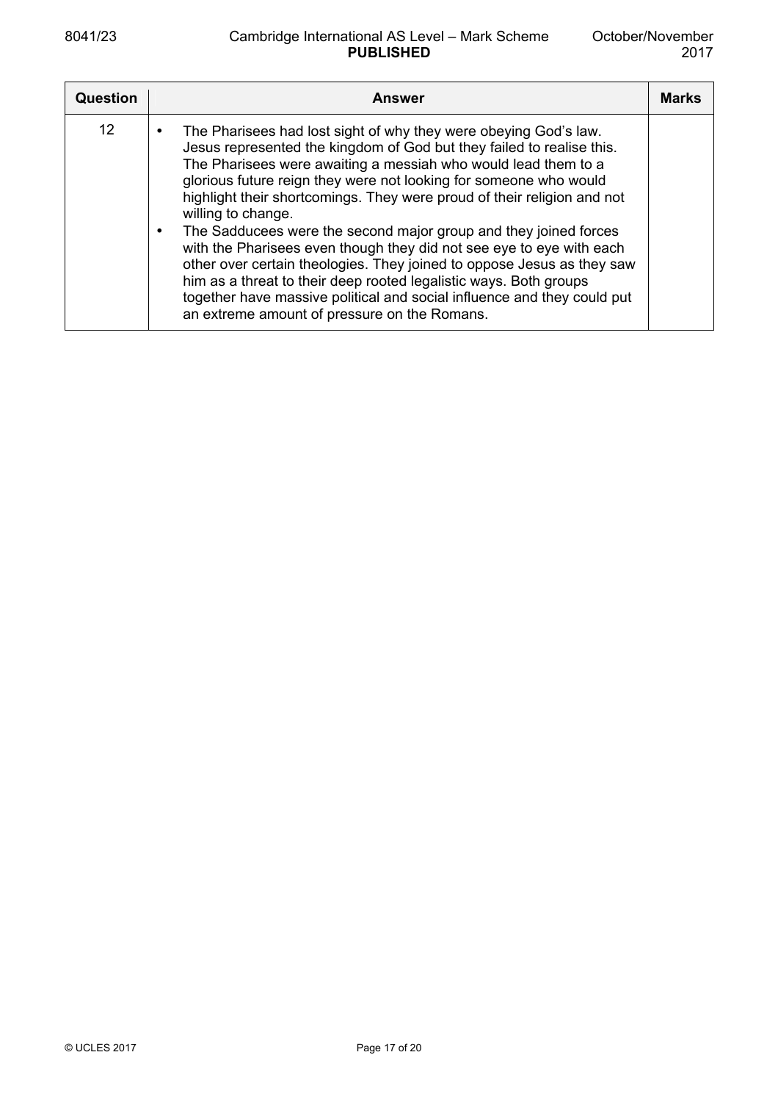| Question | <b>Answer</b>                                                                                                                                                                                                                                                                                                                                                                                                                                                                                                                                                                                                                                                                                                                                                                                           | <b>Marks</b> |
|----------|---------------------------------------------------------------------------------------------------------------------------------------------------------------------------------------------------------------------------------------------------------------------------------------------------------------------------------------------------------------------------------------------------------------------------------------------------------------------------------------------------------------------------------------------------------------------------------------------------------------------------------------------------------------------------------------------------------------------------------------------------------------------------------------------------------|--------------|
| 12       | The Pharisees had lost sight of why they were obeying God's law.<br>Jesus represented the kingdom of God but they failed to realise this.<br>The Pharisees were awaiting a messiah who would lead them to a<br>glorious future reign they were not looking for someone who would<br>highlight their shortcomings. They were proud of their religion and not<br>willing to change.<br>The Sadducees were the second major group and they joined forces<br>with the Pharisees even though they did not see eye to eye with each<br>other over certain theologies. They joined to oppose Jesus as they saw<br>him as a threat to their deep rooted legalistic ways. Both groups<br>together have massive political and social influence and they could put<br>an extreme amount of pressure on the Romans. |              |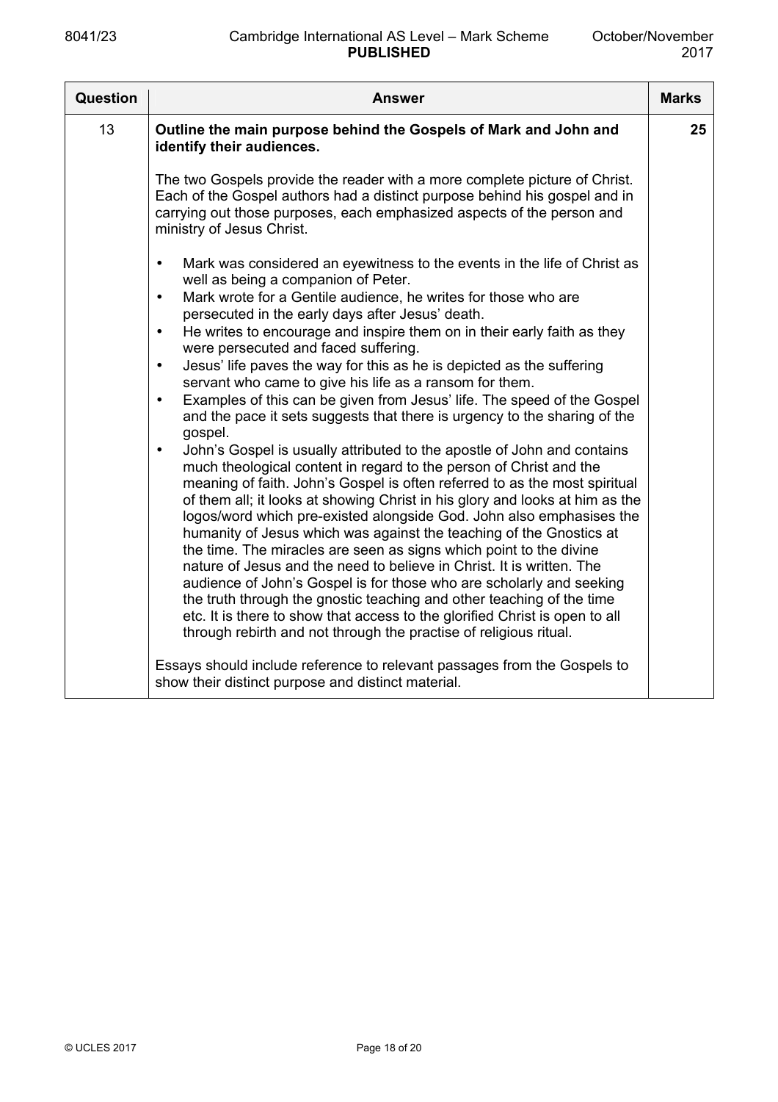| <b>Question</b> | <b>Answer</b>                                                                                                                                                                                                                                                                                                                                                                                                                                                                                                                                                                                                                                                                                                                                                                                                                                                                                                                                                                                                                                                                                                                                                                                                                                                                                                                                                                                                                                                                                                                                                                                                                                                   | <b>Marks</b> |
|-----------------|-----------------------------------------------------------------------------------------------------------------------------------------------------------------------------------------------------------------------------------------------------------------------------------------------------------------------------------------------------------------------------------------------------------------------------------------------------------------------------------------------------------------------------------------------------------------------------------------------------------------------------------------------------------------------------------------------------------------------------------------------------------------------------------------------------------------------------------------------------------------------------------------------------------------------------------------------------------------------------------------------------------------------------------------------------------------------------------------------------------------------------------------------------------------------------------------------------------------------------------------------------------------------------------------------------------------------------------------------------------------------------------------------------------------------------------------------------------------------------------------------------------------------------------------------------------------------------------------------------------------------------------------------------------------|--------------|
| 13              | Outline the main purpose behind the Gospels of Mark and John and<br>identify their audiences.                                                                                                                                                                                                                                                                                                                                                                                                                                                                                                                                                                                                                                                                                                                                                                                                                                                                                                                                                                                                                                                                                                                                                                                                                                                                                                                                                                                                                                                                                                                                                                   | 25           |
|                 | The two Gospels provide the reader with a more complete picture of Christ.<br>Each of the Gospel authors had a distinct purpose behind his gospel and in<br>carrying out those purposes, each emphasized aspects of the person and<br>ministry of Jesus Christ.                                                                                                                                                                                                                                                                                                                                                                                                                                                                                                                                                                                                                                                                                                                                                                                                                                                                                                                                                                                                                                                                                                                                                                                                                                                                                                                                                                                                 |              |
|                 | Mark was considered an eyewitness to the events in the life of Christ as<br>$\bullet$<br>well as being a companion of Peter.<br>Mark wrote for a Gentile audience, he writes for those who are<br>$\bullet$<br>persecuted in the early days after Jesus' death.<br>He writes to encourage and inspire them on in their early faith as they<br>$\bullet$<br>were persecuted and faced suffering.<br>Jesus' life paves the way for this as he is depicted as the suffering<br>$\bullet$<br>servant who came to give his life as a ransom for them.<br>Examples of this can be given from Jesus' life. The speed of the Gospel<br>$\bullet$<br>and the pace it sets suggests that there is urgency to the sharing of the<br>gospel.<br>John's Gospel is usually attributed to the apostle of John and contains<br>$\bullet$<br>much theological content in regard to the person of Christ and the<br>meaning of faith. John's Gospel is often referred to as the most spiritual<br>of them all; it looks at showing Christ in his glory and looks at him as the<br>logos/word which pre-existed alongside God. John also emphasises the<br>humanity of Jesus which was against the teaching of the Gnostics at<br>the time. The miracles are seen as signs which point to the divine<br>nature of Jesus and the need to believe in Christ. It is written. The<br>audience of John's Gospel is for those who are scholarly and seeking<br>the truth through the gnostic teaching and other teaching of the time<br>etc. It is there to show that access to the glorified Christ is open to all<br>through rebirth and not through the practise of religious ritual. |              |
|                 | Essays should include reference to relevant passages from the Gospels to<br>show their distinct purpose and distinct material.                                                                                                                                                                                                                                                                                                                                                                                                                                                                                                                                                                                                                                                                                                                                                                                                                                                                                                                                                                                                                                                                                                                                                                                                                                                                                                                                                                                                                                                                                                                                  |              |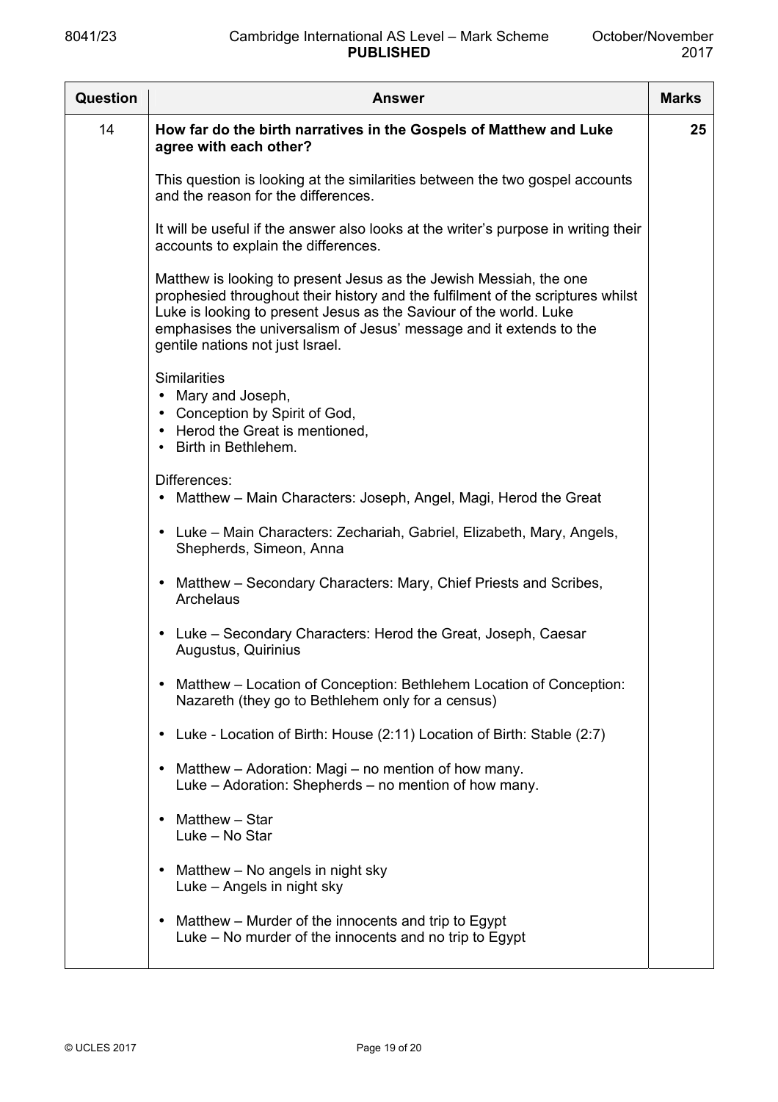| <b>Question</b> | Answer                                                                                                                                                                                                                                                                                                                                 | <b>Marks</b> |
|-----------------|----------------------------------------------------------------------------------------------------------------------------------------------------------------------------------------------------------------------------------------------------------------------------------------------------------------------------------------|--------------|
| 14              | How far do the birth narratives in the Gospels of Matthew and Luke<br>agree with each other?                                                                                                                                                                                                                                           | 25           |
|                 | This question is looking at the similarities between the two gospel accounts<br>and the reason for the differences.                                                                                                                                                                                                                    |              |
|                 | It will be useful if the answer also looks at the writer's purpose in writing their<br>accounts to explain the differences.                                                                                                                                                                                                            |              |
|                 | Matthew is looking to present Jesus as the Jewish Messiah, the one<br>prophesied throughout their history and the fulfilment of the scriptures whilst<br>Luke is looking to present Jesus as the Saviour of the world. Luke<br>emphasises the universalism of Jesus' message and it extends to the<br>gentile nations not just Israel. |              |
|                 | <b>Similarities</b><br>Mary and Joseph,<br>$\bullet$<br>Conception by Spirit of God,<br>• Herod the Great is mentioned,<br>• Birth in Bethlehem.                                                                                                                                                                                       |              |
|                 | Differences:<br>Matthew – Main Characters: Joseph, Angel, Magi, Herod the Great                                                                                                                                                                                                                                                        |              |
|                 | • Luke – Main Characters: Zechariah, Gabriel, Elizabeth, Mary, Angels,<br>Shepherds, Simeon, Anna                                                                                                                                                                                                                                      |              |
|                 | Matthew - Secondary Characters: Mary, Chief Priests and Scribes,<br>Archelaus                                                                                                                                                                                                                                                          |              |
|                 | Luke - Secondary Characters: Herod the Great, Joseph, Caesar<br>Augustus, Quirinius                                                                                                                                                                                                                                                    |              |
|                 | Matthew - Location of Conception: Bethlehem Location of Conception:<br>Nazareth (they go to Bethlehem only for a census)                                                                                                                                                                                                               |              |
|                 | Luke - Location of Birth: House (2:11) Location of Birth: Stable (2:7)                                                                                                                                                                                                                                                                 |              |
|                 | Matthew – Adoration: Magi – no mention of how many.<br>Luke - Adoration: Shepherds - no mention of how many.                                                                                                                                                                                                                           |              |
|                 | Matthew - Star<br>Luke - No Star                                                                                                                                                                                                                                                                                                       |              |
|                 | Matthew – No angels in night sky<br>Luke - Angels in night sky                                                                                                                                                                                                                                                                         |              |
|                 | Matthew – Murder of the innocents and trip to Egypt<br>Luke – No murder of the innocents and no trip to Egypt                                                                                                                                                                                                                          |              |